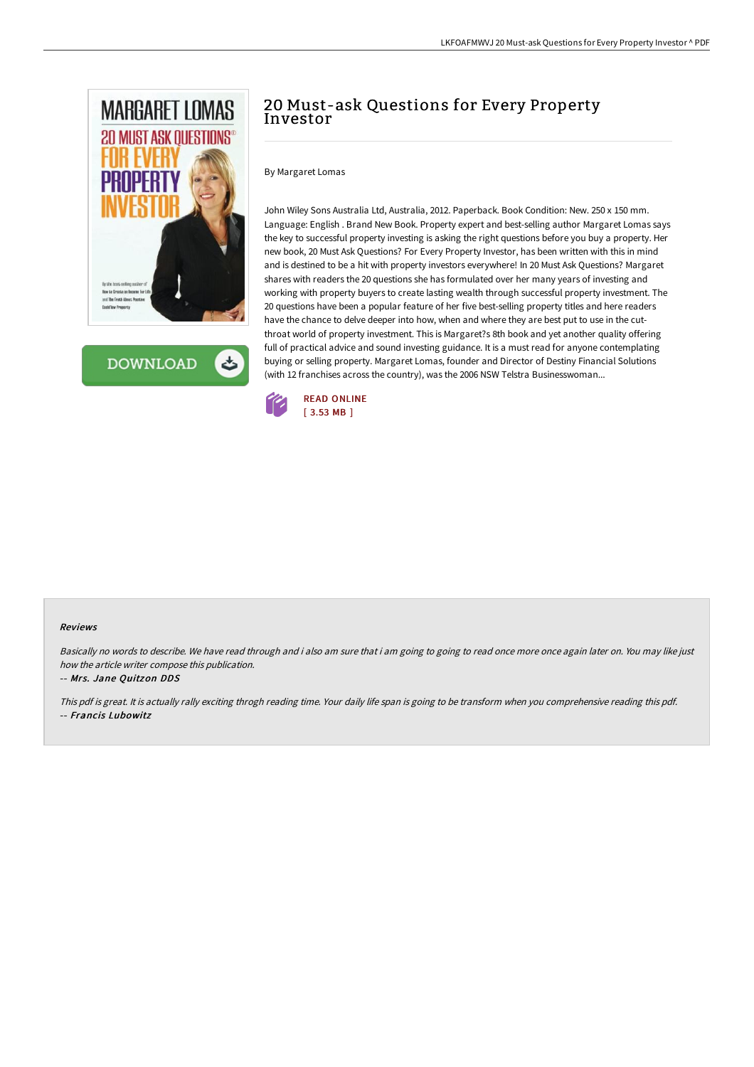

**DOWNLOAD** 

# 20 Must-ask Questions for Every Property Investor

By Margaret Lomas

John Wiley Sons Australia Ltd, Australia, 2012. Paperback. Book Condition: New. 250 x 150 mm. Language: English . Brand New Book. Property expert and best-selling author Margaret Lomas says the key to successful property investing is asking the right questions before you buy a property. Her new book, 20 Must Ask Questions? For Every Property Investor, has been written with this in mind and is destined to be a hit with property investors everywhere! In 20 Must Ask Questions? Margaret shares with readers the 20 questions she has formulated over her many years of investing and working with property buyers to create lasting wealth through successful property investment. The 20 questions have been a popular feature of her five best-selling property titles and here readers have the chance to delve deeper into how, when and where they are best put to use in the cutthroat world of property investment. This is Margaret?s 8th book and yet another quality offering full of practical advice and sound investing guidance. It is a must read for anyone contemplating buying or selling property. Margaret Lomas, founder and Director of Destiny Financial Solutions (with 12 franchises across the country), was the 2006 NSW Telstra Businesswoman...



#### Reviews

Basically no words to describe. We have read through and i also am sure that i am going to going to read once more once again later on. You may like just how the article writer compose this publication.

-- Mrs. Jane Quitzon DDS

This pdf is great. It is actually rally exciting throgh reading time. Your daily life span is going to be transform when you comprehensive reading this pdf. -- Francis Lubowitz